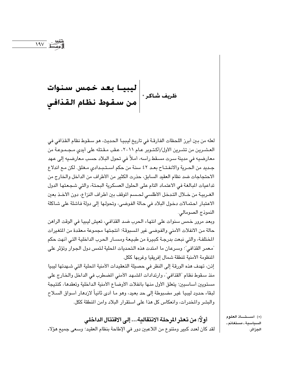$\frac{191}{191}$ 

لعله من بين أبرز اللحظات الفارقـة في تاريخ ليبيـا الـحديث، هو سـقوط نظام الـقذافي في العشـرين من تشـرين الأول/أكـتـوبر عـام ٢٠١١، عـقب مـقـتله على أيدي مـجـمـوعـة من معارضيه في مدينة سرت مسقط رأسه، أملاً في تحول البلاد حسب معارضيه إلى عهد جديد من الحرية والانفتـاح بعـد ٤٢ سنة من حكم اسـتـبـدادي مـغلق. لكن مـع اندلاع الاحتجاجات ضد نظام العقيد السابق، حذرت الكثير من الأطراف من الداخل والخارج من تداعيات المبالغة في الاعتماد التام على الحلول العسكرية البحتة، والتي شجعتها الدول الغـربيـة من خــلال التـدخل الأطلسي لـحـسم الموقف بين أطراف النزاع، دون الأخــذ بعين الاعتبار احتمالات دخول البلاد في حالة الفوضى، وتحولها إلى دولة فاشلة على شاكلة النموذج الصومالي.

وبعد مرور خمس سنوات على انتهاء الحرب ضد القذافي، تعيش ليبيا في الوقت الراهن حالة من الانفلات الأمنى والفوضى غير المسبوقة؛ أنتجتها مجموعة معقدة من المتغيرات المختلفة، والتي نبعت بدرجة كبيرة من طبيعة ومسـار الحرب الداخلية التي أنهت حكم "معمر القذافي"؛ وسرعان ما امتدت هذه التحديات المحلية لتمس دول الجوار وتؤثر على المنظومة الأمنية لمنطقة شمال إفريقيا وغربها ككل.

إنن، تهدف هذه الورقة إلى النظر في حصيلة التعقيدات الأمنية المحلية التي شـهدتها ليبيا منذ سقوط نظام "القذافي"، وارتدادات المشهد الأمنى المضطرب في الداخل والخارج على مستويين أساسيين؛ يتعلق الأول منها بانفلات الأوضاع الأمنية الداخلية وتعقدها، كنتيجة لبقاء حدود ليبيا غير مضبوطة إلى حد بعيد، وهو ما أدى ثانياً لازدهار أسواق السلاح والبشر والمخدرات، وانعكاس كل هذا على استقرار البلاد وامن المنطقة ككل.

أولًا: من تعثر المرحلة الانتقالية... إلى الاقتتال الداخلي لقد كان لعدد كبير ومتنوع من اللاعبين دور في الإطاحة بنظام العقيد؛ وسعى جميع هؤلاء (\*) أســـتـــاذ العلوم السياسية ـ مستغانم ـ الجزائر.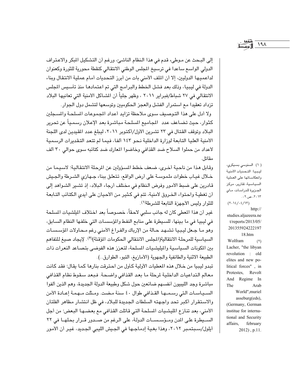إلى البحث عن موطىء قدم في هذا النظام الناشئ، ورغم أن التشكيل المبكر والاعتراف الدولي الواسع ساعدا في ترسيخ المجلس الوطني الانتقالي كنقطة محورية للثورة وكعنوان لداعميها الدوليين، إلا أن الملف الأمنى بات من أبرز التحديات أمام عملية الانتقال وبناء الدولة في ليبيا، وذلك بعد فشل الخطط والبرامج التي تم اعتمادها منذ تأسيس المجلس الانتقالي في ٢٧ شباط/فبراير ٢٠١١ ، وظهر جلياً أن الشـاكل الأمنية التي تعانيها البلاد تزداد تعقيدا مع استمرار الفشل والعجز الحكوميين وتوسعها لتشمل دول الجوار.

ولا أدل على هذا التوصيف سوى ملاحظة تزايد أعداد المجموعات المسلحة والمسجلين كثوار، حيث تضاعف عدد اللجاميع السلحة مباشرة بعد الإعلان رسمياً عن تحرير البلاد وتوقف القتال في ٢٣ تشرين الأول/أكتوبر ٢٠١١، ليبلغ عدد المقيدين لدى اللجنة الأمنية العليا التابعة لوزارة الداخلية نحو ١٤٣ ألفا، فيما لم تتعد التقديرات الرسمية لأعداد من حملوا السلاح ضد القذافي وخاضوا المعارك ضد كتائبه سوى حوالي ٣٠ ألف مقاتل.

وقابل هذا من ناحية أخرى، ضعف خطط المسؤولين عن المرحلة الانتقالية؛ لاسيما من خـلال غيـاب خطوات ملموسـة على أرض الواقع، تتعلق ببناء جـهازى الشـرطة والجيش قادرين على ضبط الأمور وفرض النظام في مختلف أرجاء البلاد، إذ تشير الشواهد إلى أن تغطية واحتواء الخروق لأمنية، تتم في كثير من الأحيان على أيدي الكتائب التابعة للثوار وليس الأجهزة التابعة للشرطة(١).

غير أن هذا المطى كان له جانب سلبي لاحقاً، خصىوصاً بعد اختلاف الملشيات السلحة في ليبيا في ما بينها، للسيطرة على منابع النفط والمؤسسات التي خلفها النظام السابق، وهو مـا جـعل ليـبـيـا تشـهـد حـالة من الإرباك والفـراغ الأمنى رغم مـحـاولات المؤسسـات السياسية للمرحلة الانتقالية(المجلس الانتقالي الحكومات المؤقتة)(٢). لإيجاد صيغ للتفاهم ببن المكونات السياسية والمليشيات المسلحة، لتعزز هذه الفوضى بتصاعد النعرات ذات الطبيعة الاثنية والطائفية والجهوية (الأمازيغ، التبو، الطوارق..).

تبدو ليبيا من خلال هذه المعطيات الأولية كأول من احترقت بنارها كما يقال؛ فقد كانت معالم التداعيات الداخلية لرحلة ما بعد القذافي واضحة. فبعد سقوط نظام القذافي مباشرة وجد الليبيون أنفسهم ضائعين حول شكل وطبيعة الدولة الجديدة، وهم الذين ألفوا السيباسات التي رسمها القذافي طوال ٤٠ سنة مضت. ومثلت مهمة إعـادة الأمن والاستقرار أكبر تحد واجهته السلطات الجديدة للبلاد، في ظل انتشار مظاهر الفلتان الأمني، بعد تنازع المليشيات المسلحة التي قاتلت القذافي مع بعضـهـا البعض؛ من أجل السيطرة على المدن ومؤسسات الدولة، على الرغم من صدور قـرار بحلهـا في ٢٢ أيلول/سبتمبر ٢٠١٢، وهذا بغية إدماجها في الجيش الليبي الجديد، غير أن الأمور

( ۱) السنوسي بسيكري، ليبيا: التحديات الأمنية وانعكاساتها على العملية السياسية، تقارير، مركز الجـزيرة للدراسـات، مـاي ۲۰۱۳، ص۲۰۰.  $(Y \cdot Y / \epsilon / \tau)$  $http://$ studies.aljazeera.ne t/reports/2013/05/ 201355924222197 18.htm Wolfram  $(\Upsilon)$ Lacher, "the libyan revolution : old elites and new political forces", in Protestes, Revolt And Regime In The Arab World", muriel asseburg(eds). (Germany, German institue for international and Security affairs, february  $2012$ , p.11.

 $19<sub>A</sub>$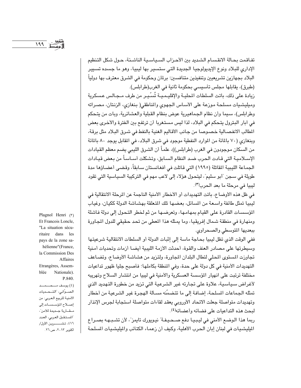تفاقمت بحالة الانقسام الشديد بين الأحزاب السياسية الناشئة، حول شكل التنظيم الإداري للبلاد ونوع الإيديولوجيا الجديدة التى ستسير بها ليبيا، وهو ما جسده تسيير البلاد بجهازين تشريعيين وتنفيذين متنافسين؛ برلمان وحكومة في الشرق معترف بها دولياً (طبرق)، يقابلها مجلس تأسيسي بحكومة ثانية في الغرب(طرابلس).

زيادة على ذلك، باتت السلطات المحليـة والإقليـمـيـة تُسـّـيـر من طرف مــجـالس عـسكرية وميليشيات مسلحة موزعة على الأساس الجهوى والمناطقى( بنغازى، الزنتان، مصراته وطرابلس)، سيما وأن نظام الجماهيرية عوض بنظام القبلية والعشائرية، وبات من يتحكم في أبار البترول يتحكم في البلاد، لذا ليس مستغربا أن ترتفع بين الفترة والأخرى بعض المطالب الانفصـالية خصـوصـا من جـانب الأقـاليم الغنية بالنفط في شـرق البـلاد مثل برقـة، وبنغازي (٧٠ بالمائة من الموارد النفطية موجود في شرق البلاد، في المقابل يوجد ٨٠ بالمائة من السكان موجودون في الغرب (طرابلس))، علماً أن الشرق الليبي يضم معظم القيادات الإسـلاميـة التي قـادت الـحرب ضـد النظام السـابق، وتشكلت أسـاسـاً من بـعض قيـادات الجماعة الليبية المقاتلة (١٩٩٥) التي قاتلت في أفغانستان سابقاً، وقضى أعضاؤها مدة طويلة في سجن "أبو سليم"، ليتحول هؤلاء إلى لاعب مهم في التركيبة السياسية التي تقود ليبيا في مرحلة ما بعد الحرب(٣).

في ظل هذه الأوضاع، باتت التهديدات أو الأخطار الأمنية الناجمة عن الرحلة الانتقالية في ليبيا تمثل طائفة واسعة من المسائل، بعضها تلك المتعلقة بهشاشة الدولة ككيان، وغياب المؤسسات القادرة على القيام بمهامها، وتعرضها من ثم لخطر التحول إلى دولة فاشلة ومنهارة في منطقة شمال إفريقيا، وما يمثله هذا المعطي من تحد حقيقي للدول المجاورة ببعديها المتوسطى والصحراوى.

ففي الوقت الذي تظل ليبيا بحاجة ماسة إلى إثبات الدولة أو السلطات الانتقالية شرعيتها وسيطرتها على مصادر العنف والقوة، أحدثت الأزمة الليبية أيضا أزمات وتحديات أمنية تجاوزت المستوى المحلي لتطال البلدان المجاورة، ولتزيد من هشاشة الأوضاع، وتضاعف التهديدات الأمنية في كل دولة على حدة، وفي المنطقة بكاملها؛ فأصبح جليا ظهور تداعيات مختلفة ترتبت على انهيار المؤسسة العسكرية والأمنية في ليبيا من انتشار السلاح وتهريبه لأغراض سياسية، علاوة على تجارته غير الشرعية التي تزيد من خطورة التهديد الذي تمثِّله الجماعات المسلحة، إضافة إلى ما تتضمَّنه مسـألة الهجرة غير الشرعية من أخطار وتهديدات متواصلة جعلت الاتحاد الأوروبي يعقد لقاءات متواصلة استجابة لجرس الإنذار لبحث هذه التداعيات على فضائه وأعضائه(٤).

ربما هذا الوضع الأمنى في ليبيا دفع صحيفة" نيويورك تايمز"، لأن تشبهه بصراع المليشيات في لبنان إبان الحرب الأهلية، وكيف أن زعماء الكتائب والمليشيات المسلحة

Plagnol Henri (٣) Et Francois Loncle, "La situation sécuritaire dans les pays de la zone sahélienne"(France, la Commission Des Affaires Etrangères, Assemblée Nationale). P.840. (٤) يوسف مصمــد الصوَّاني، "التـحديات

الأمنية للربيع العربي: من إصلاح المؤسسات إلى مقاربة جديدة للأمن"، المستقبل العربي، العدد ٤١٦، تشــــــرين الأول/

أكتوبر ٢٠١٣، ص7٦.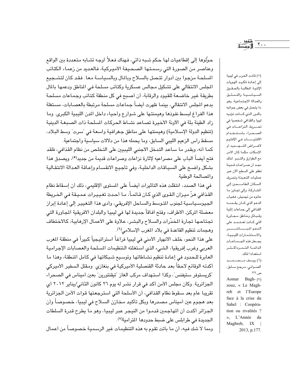حوّلوها إلى إقطاعيات لها حكم شبه ذاتى، فهناك فعلاً أوجه تشابه متعددة بين الواقع وعناصر من الصورة التي رسمتها الصحيفة الأميركية، فالعديد من زعماء الكتائب المسلحة مزجوا بين أدوار تتصل بالسلاح وبالمال وبالسياسة معا. فقد كان لتشجيع المجلس الانتقالي على تشكيل مجالس عسكرية وكتائب مسلحة في المناطق ودعمها بالمال بطريقة غير خاضعة للقيود والرقابة، أن أصبح في كل منطقة كتائب وجماعات مسلحة بدعم الجلس الانتقالي، بينما ظهرت أيضاً جماعات مسلحة مرتبطة بالعصابات، مستغلة هذا الفراغ لبسط نفوذها وهيمنتها على شوارع وأحياء داخل الدن الليبية الكبرى. وما زاد الطينة بلة في الآونة الأخيرة تصـاعد نشـاط الـحركات المسلحة ذات الصـبـغـة الدينيـة (تنظيم الدولة الإسلامية) وهيمنتها على مناطق جغرافية واسعة في "سرت" وسط البلاد، مسقط رأس الزعيم الليبي السابق، وما يحمله هذا من دلالات سياسية واجتماعية. كما أنه، وبقدر ما ساعد التدخل الأجنبي الليبيين على التخلص من نظام القذافي، فلقد

فتح أيضاً الباب على مصراعيه لإثارة نزاعات وصراعات قديمة من جديد<sup>(0)</sup>، ويصدق هذا بشكل واضح على السياقات الداخلية، وفي تأجيج الانقسام وإعاقة العدالة الانتقالية والمصالحة الوطنية.

في هذا الصدد، انتقلت هذه التأثيرات أيضاً على المستوى الإقليمي، ذلك أن إسـقاط نظام القذافي هزّ ميزان القوى الذي كان قائمـاً، مـا أحدث تغييرات عميقة في الخريطة الجيوسياسية لجنوب التوسط والساحل الإفريقي، وأدى هذا التغيير إلى إعادة إبراز معضلة الركزـ الأطراف، وفتح أفاقاً جديدة لها في ليبيا والبلدان الأفريقية المجاورة التي تجتاحها تجارة المخدّرات والسلاح والبشر، علاوة على الأعمال الإرهابية، كالاختطاف وهجمات تنظيم القاعدة في بلاد المغرب الإسلامي(٦).

على هذا النحو، خلف الانهيار الأمنى في ليبيا فراغاً استراتيجياً كبيراً في منطقة المغرب العربي وغرب إفريقيا، الشيء الذي استغلته التنظيمات المسلحة والعصابات الإجرامية العابرة للحدود في إعادة تنظيم نشاطاتها وتوسيع شبكاتها في كامل المنطقة، وهذا ما أكدته الوقائع لاحقاً بعد حادثة القنصلية الأميركية في بنغازي ومقتل السفير الأميركي "كريستوفر ستيفنس"، وكذا استهداف مركب الغاز "تيقنتورين" بعين أميناس في الصحراء الجزائرية. وكان مجلس الأمن أكد في قرار نشر له يوم ٢٦ كانون الثاني/يناير ٢٠١٢ أي تقريبا عام بعد سقوط نظام القذافي، أن الأسلحة التى استرجعتها قوات الأمن الجزائرية بعد هجوم عين أميناس مصدرها وبكل تأكيد مخازن السلاح في ليبيا، خصوصاً وأن الجزائر أكدت أن المهاجمين قدموا من النيجر عبر ليبيا، وهو ما يطرح قدرة السلطات الجديدة في طرابلس على ضبط حدودها المترامية<sup>(٧)</sup>.

(٥) قادت الحرب في ليبيا إلى إعادة تأكيد الهويات الإثنية المطالبة بالحقوق السياسية والتمشيل والعدالة الاجتماعية، وهو ما يتصل في بعض جوانبه بالدور الذي كانت تؤديه ليبيا والقذافي شخصيا في تحـــريك النزاعــــات في الصحراء باستخدام الأقليــــــات في الإقليم لأغراض التهديد أو الإسكات، مثلما كان الأمر مع الطوارق والتسبو. لذلك نجد أن صراعات قديمة تطفو على السطح الآن عبر عمليات التعبئة وتحريك السكان الطامسحين إلى الشاركة، وإلى تجاوز ما عانوه من تهميش، فغياب الدعم الذى كان يقدمه القذافي إلى جماعات إثنية وقبائل ومناطق مجاورة التى كـانت تعـتـمـد على الدعم المبساشسر والاستثمارات الليبية، يجعل هذه الجماعات الدائمة التمردأكشر استعدادا لذلك. (٦) يوسف مصحصد الصــوانـي، مـرجـع ســابق، ص ۲۲. Aomar Bagh-(V) zouz, « Le Maghreb et l'Europe face à la crise du Sahel : Coopération ou rivalités ? », L'Année du

Maghreb, IX |

2013, p.177.

 $Y \cdot \cdot$ 

ومما لا شك فيه، أن ما باتت تقوم به هذه التنظيمات غير الرسمية خصوصاً من أعمال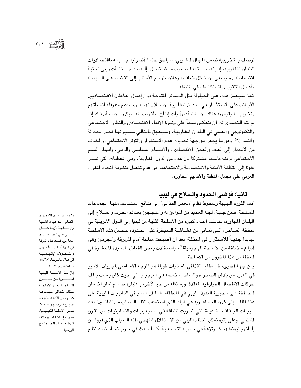توصف بالتخريبية ضمن اللجال الغاربي، سيلحق حتما أضرارا جسيمة باقتصاديات البلدان المغاربية، إذ إنه سيستهدف ضرب ما قد تصل إليه يده من منشآت وبني تحتية اقتصادية. وسيسعى من خلال خطف الرهائن وترويع الأجانب إلى القضاء على السياحة وأعمال التنقيب والاستكشاف في المنطقة.

كما سيعمل هذا، على الحيلولة بكل الوسائل المتاحة دون إقبال الفاعلين الاقتصاديين الأجانب على الاستثمار في البلدان المغاربية من خلال تهديد وجودهم وعرقلة أنشطتهم وتخريب ما يقيمونه هناك من منشـاَت واَليات إنتاج. ولا ريب أنه سيكون من شـأن ذلك إذا لم يتم التصدي له، أن ينعكس سلباً على وتيرة الإنماء الاقتصـادي والتطور الاجتماعي والتكنولوجي والعلمي في البلدان المغاربية، وسيعيق بالتالي مسيرتها نحو الحداثة والتمدن(٨). وهو ما يجعل مواجهة تحديات عدم الاستقرار والتوتر الاجتماعي، والخوف من الانحدار إلى العنف والعجز الاقتصادي، والانقسام السياسي والديني، وانهيار السلم الاجتماعي برمته قاسما مشتركا بين عدد من الدول المغاربية، وهي المعطيات التي تشير بقوة إلى التكلفة الأمنية والاقتصادية والاجتماعية من عدم تفعيل منظومة اتحاد المغرب العربي على مجمل المنطقة والأقاليم المجاورة.

## ثانيا: فوضى الحدود والسلاح في ليبيا

أدت الثورة الليبية وسقوط نظام "معمر القذافي" إلى نتائج استفادت منها الجماعات المسلحة. فـمن جـهـة، لـجــأ العـديد من الموالـين له والمدجـجين بغنائم الـحـرب والســلاح إلى البلدان المجاورة، فتدفقت أعداد كبيرة من الأسلحة الثقيلة من ليبيا إلى الدول الأفريقية في منطقة السـاحل، التي تعـاني من هشـاشـة السيطرة على الحدود، لتـحمل هذه الأسلحـة تهديدا جديداً للاستقرار في المنطقة، بعد أن أصبحت متاحة أمام المرتزقة والمجرمين وهي أنواع مختلفة من الأسلحة الهجومية(٩)، واستفادت بعض القبائل المتمردة المنتشرة في المنطقة من هذا المخزون من الأسلحة.

ومن جهة أخرى، ظل نظام "القذافي" لسنوات طويلة هو الموجه الأسـاسـي لمجريات الأمور في العديد من بلدان الصحراء والساحل، خاصة في النيجر ومالي؛ حيث كان يمسك بملف حركات الانفصال الطوارقية المعقدة، ويستغله من حين لآخر، باعتباره صمام أمان لضمان المحافظة على محورية النفوذ الليبي في المنطقة، علما أن السر في التأثيرات الليبية على هذا الملف، إلى كون الجماهيرية هي البلد الذي استوعب آلاف الشباب من "الملثمين" بعد موجات الجـفاف الشديدة التي ضـربت المنطقة في السـبـعينيـات والثمـانينيـات من القرن الماضي، وعلى إثره تمكن النظام الليبي من الاستغلال المنهجي لفئة الشباب الذي فروا من بلدانهم ليوظفـهم كمرتزقة فى حروبه التوسـعـية، كمـا حدث فى حـرب تشـاد ضـد نظام

الكتاب، التداعيات الأمنية والإنسانية لأزمة شمال مالي على الصعيد المغاربي، قدمت هذه الورقة في ندوة "المغرب العربي والتحولات الإقليمية الراهنة"، بالدوحة، ١٨/١٧ شباط/فبراير ٢٠١٢. (٩) تمثل الأسلحة الليبية المتسربة من مخازن الأسلحة بعد الإطاحة بنظام القذافى مجموعة كبيرة من الكلاشينكوف، صواريخ أرضـجو سام ـ٧، بنادق، الأسلحة الكيميائية، صواريخ، الألغام، وقذائف المدفسعية والصواريخ الروسية.

(٨) مـحـمـد الأمين ولد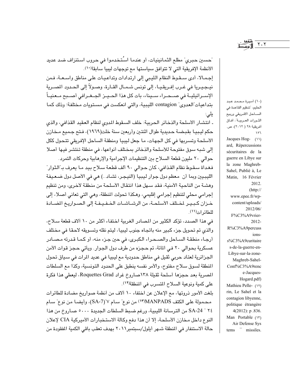$\mathbf{Y}\cdot\mathbf{Y}$ 

"حسين حبري" مطلع الثمانينيات، أو عندما اسُتخدموا في حروب استنزاف ضد عديد الأنظمة الإفريقية التي لا تتوافق سياستها مع توجهات ليبيا سابقا(١٠). إجمالا، أدى ستقوط النظام الليبي إلى ارتدادات وتداعيات على مناطق واسعة، فمن نيـجـيـريا في غـرب إفـريقـيـا، إلى تونس شـمـال القـارة، وصـولاً إلى الحـدود المصـرية الإســرائيليــة في صــحــراء ســيناء، بات كل هذا الحــيــز الجــغــرافي أصــبح مــعنيــاً بتداعيات العدوى" contagion الليبية، والتي انعكست في مستويات مختلفة؛ وذلك كما یلی:

ـ انتشار الأسلحة والذخائر الحربية: خلف السقوط المدوى لنظام العقيد القذافي، والذي حكم ليبيـا بقبـضـة حـديدية طوال اثنتـين وأربعين سنة خلت(١٩٦٩)، فـتح جـمـيع مـخـازن الأسلحة وتسربها في كل الجهات، ما جعل ليبيا ومنطقة الساحل الإفريقي تتحول ككل إلى شبه سوق مفتوحة للأسلحة والذخائر بمختلف أنواعها، في منطقة تنتشر فيها أصلا حوالي ٢٠ مليون قطعة السلاح بين التنظيمات الإجرامية والإرهابية وحركات التمرد. فغداة سقوط نظام القذافي، كان حوالي ٩٠ ألف قطعة سلاح بيد مـا يعرف بـ"الثوار" الليبيين وبما أن معظم دول جوار ليبيا (النيجر، تشاد..) هي في الأصل دول ضعيفة وهشـة من الناحية الأمنية، فقد سـهل هذا انتقال الأسلحة من منطقة لأخرى، ومن تنظيم إجرامي محلي لتنظيم إجرامي إقليمي، وهكذا تحولت المنطقة، وهي التي تعاني أصلا، إلى خـزان كـبـيـر لخـتلف الأسلحـة، من الرشـاشـات الخـفـيـفـة إلى الصـواريـخ المضـادة للطائر ات(١١).

في هذا الصدد، تؤكد الكثير من المصادر الغربية اختفاء أكثر من ١٠ آلاف قطعة سلاح، والذي تم تحويل جزء كبير منه باتجاه جنوب ليبيا، ليتم نقله وتسويقه لاحقا في مختلف أرجاء منطقة السـاحل والصـحـراء الكبـرى، في حين جـزء منه، أو كـمـا قـدرته مـصـادر عسكرية بحوالي ٢٠ في المائة، تم حجزه من طرف دول الجوار. ويأتي حجز قوات الأمن الجزائرية لعتاد حربي ثقيل في مناطق حدودية مع ليبيا في عديد المرات في سياق تحول المنطقة لسوق سلاح مفتوح، والأمر نفسه ينطبق على الحدود التونسية، وكذا مع السلطات المصرية بعد حجزها أسلحة ثقيلة ١٣٨مصاروخ غراد Roquettes Grad، ليعطي هذا فكرة على كمية ونوعية السلاح المتسرب في المنطقة(١٢).

بلغت الأمور ذروتها، مع الإعلان عن اختفاء ١٠ آلاف من أنظمة صواريخ مضادة للطائرات محمولة على الكتف MANPADS(11) من نوع" سام ٧"(SA-7)، وأيضا من نوع" سام ٢٤ " SA-24 من الترسانة الليبية، ورغم ضبط السلطات الجديدة ٥٠٠٠ صاروخ من هذا النوع داخل مخازن الأسلحة، إلا أن هذا دفع وكالة الاستخبارات الأميركية CIA لإعلان حالة الاستنفار في المنطقة شـهر أيلول/سبتمبر٢٠١١ بهدف تعقب باقي الكمية المفقودة من

(١٠) أميرة محمد عبد الحليم، "تنظيم القاعدة في السساحل الأفريقي وربيع الشورات العربية"، أفاق أفريقية ٢٨ ( ٢٠١٢)، ص.  $\lambda \tau \tau$ Jacques Hog- $(11)$ ard, Répercussions sécuritaires de la guerre en Libye sur la zone Maghreb-Sahel, Publié à, Le Matin, 16 Février 2012.  $(http://$ www.epee.fr/wpcontent/uploads/ 2012/06/ F%C3%A9vrier-2012-R%C3%A9percuss ionss%C3%A9curitaire s-de-la-guerre-en-Libye-sur-la-zone-Maghreb-Sahel-Conf%C3%A9renc e-Jacques-Hogard.pdf) Mathieu Pelle- (١٢) rin, Le Sahel et la contagion libyenne, politique étrangère 4(2012): p .836. Man Portable (١٣) Air Defense Sys  $tems$  missiles.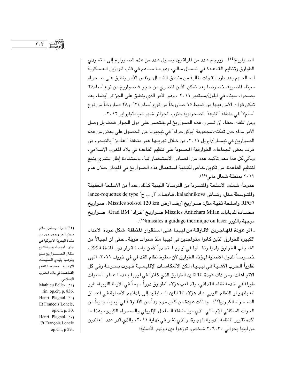$Y.Y$ 

الصواريخ<sup>(١٤)</sup>. ويرجح عدد من المراقبين وصول عدد من هذه الصـورايخ إلى مـتمـردى الطوارق وتنظيم القـاعـدة في شـمـال مـالـي، وهو مـا سـاهـم في قلب الموازين الـعسكرية لصالحهم بعد طرد القوات المالية من مناطق الشمال، ونفس الأمر ينطبق على صحراء سيناء المصرية، خصوصا بعد تمكن الأمن المصرى من حجز ٨ صواريخ من نوع "سام٢٤ بصحراء سيناء في ايلول/سبتمبر ٢٠١١ ، وهو الأمر الذي ينطبق على الجزائر أيضا، بعد تمكن قوات الأمن فيها من ضبط ١٥ صاروخاً من نوع "سام ٢٤"، و٢٨ صاروخاً من نوع "سام٧" في منطقة "المنيعة" الصحراوية جنوب الجزائر شهر شباط/فبراير ٢٠١٢.

ومن الملفت حقا، أن تسرب هذه الصـواريخ لم يقتصـر على دول الجوار فـقط، بل وصل الأمر مداه حين تمكنت مجموعة "بوكو حرام" في نيجيريا من الحصول على بعض من هذه الصواريخ في نيسان/ابريل ٢٠١١، من خلال تهريبها عبر منطقة "اغاديز" بالنيجر، من طرف بعض الجماعات الطوارقية المصبوبة على تنظيم القاعدة في بلاد المغرب الإسلامي، ويأتي كل هذا بعد تأكيد عدد من المصادر الاستـخباراتية، باسـتفادة إطار بشـرى يتبع لتنظيم القاعدة، من تكوين خاص لكيفية استعمال هذه الصواريخ في الميدان خلال عام ٢٠١٢ بمنطقة شمال مالي<sup>(١٥)</sup>.

عمومـاً، شملت الأسلحة والمسربة من الترسانة الليبية كذلك، عدداً من الأسلحة الخفيفة والمتوسطة مثل، رشاش kalachnikovs، قـاذفـات "أريبج" lance-roquettes de type RPG7 وأسلحة ثقيلة مثل: صـواريخ أرضـ أرض Missiles sol-sol 120 km، صـواريخ مضـادة للدبـابات Missiles Antichars Milan صــواريـخ "غـراد" Grad BM، صــواريخ موجهة بالليزر missiles à guidage thermique ou laser?").

ـ أثر عودة المهـاجـرين الأفـارقــة من ليـبـيـا عـلى اسـتـقـرار المنطقـة: شكل عـودة الأعداد الكبيرة للطوارق الذين كانوا متواجدين في ليبيا منذ سنوات طويلة ـ حتى أن أجيالاً من الشــبـاب الطوارق ولدوا ونشــأوا في ليـبـيـاـ تحـدياً لأمن واسـتـقـرار دول المنطقـة ككل، خصـوصـاً للدول الأصلية لـهوَّلاء الطوارق لأن سقوط نظام القدافي في خريف ٢٠١١، أنهي نظرياً الحرب الأهلية في ليبيا، لكن الانعكاسات الإقليمية ظهرت بسـرعة وفي كل الاتجاهات، ومن ذلك عودة المقاتلين الطوارق الذي كانوا في ليبيا بعدما عملوا لسنوات طويلة في خدمة نظام القدافي، وقد لعب هؤلاء الطوارق دوراً مهماً في الأزمة الليبية، غير انه بانهيار النظام الليبي عاد هؤلاء المقاتلين السابقين إلى بلدانهم الأصلية في أعماق الصـحراء الكبرى(١٧). ومثلت عودة من كـان موجـوداً من الأفـارقـة في ليبـيـا، جـزءاً من الحراك السكاني الإجمالي الذي ميز منطقة الساحل الإفريقي والصحراء الكبرى، وهذا ما أكده تقرير المنظمة الدولية للهجرة، والذي نشر في نهاية ٢٠١١، والذي قدر عدد الـعائدين من ليبيا بحوالي ٢٠٩٠٣٠ شخص، توزعوا بين دولهم الأصلية؛

(١٤) تداولت وسائل إعلام محلية عن وجود عدد من مشاة البحرية الأميركية في جنوب ليبيا، بغية تتبع مكان الصهواريخ منع وقوعها بأيدى التنظيمات الإرهابية خصوصا تنظيم القاعدة في بلاد المغرب الإسلامي. Mathieu Pelle- (10) rin. op.cit, p. 836. Henri Plagnol (11) Et François Loncle, op.cit, p. 30. Henri Plagnol (W) Et François Loncle op.Cit, p 29..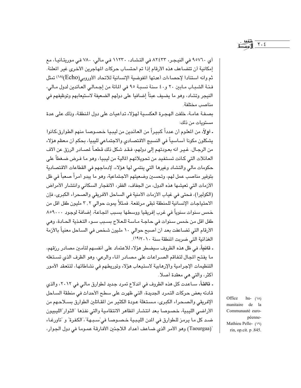$Y \cdot \xi$ 

أي ٢٥٧٦٠ في النيجر، ٨٢٤٣٣ في التشاد، ١١٢٣٠ في مالي، ٧٨٠ في موريتانيا، مع إمكانية أن تتضاعف هذه الأرقام إذا تم احتساب حركات الماجرين الأخرى غير الملنة. ثم وانه استنادا لإحصاءات أعدتها المفوضية الإنسانية للاتحاد الأوروبي(Echo)(١٨) تمثل فئة الشباب مابين ٢٠ و٤٠ سنة نسبة ٩٥ في المائة من إجمالي العائدين لدول مالي، النيجر وتشاد، وهو ما يضيف عبئاً إضافيا على دولهم الضعيفة لاستيعابهم وتوظيفهم في مناصب مختلفة.

بصفة عامة، خلفت الهجرة العكسية لهؤلاء تداعيات على دول المنطقة، وذلك على عدة مستوبات من ذلك:

- أولاً، من المعلوم أن عدداً كبيراً من العائدين من ليبيا خصـوصـا منهم الطوارق،كانوا يشكلون مكونا أساسياً في النسيج الاقتصادي والاجتماعي لليبيا، بحكم أن معظم هؤلاء من الرجـال. غـيـر انه بعـودتهم إلى دولهم، فـقـد شكل ذلك قطعـاً لمصـادر الرزق عن ألاف العائلات التي كـانت تسـتفيد من تحويلاتهم المالية من ليبيا، وهو مـا فـرض ضـغطاً على حكومات مالي والتشاد وغيرها التي ينتمي لها هؤلاء، لإدماجهم في القطاعات الاقتصادية بتوفير مناصب عمل لهم، وتحسين وضعيتهم الاجتماعية، وهو ما يبدو أمراً صعباً في ظل الأزمات التي تعيشها هذه الدول، من الجفاف، الفقر، الانفجار السكاني وانتشار الأمراض (الكوليرا)، فحتى في غياب الأزمات الأمنية في الساحل الأفريقي والصحراء الكبرى، فإن الاحتياجات الإنسانية للمنطقة تبقى مرتفعة. فمثلاً يموت حوالي ٢,٢ مليون طفل اقل من خمس سنوات سنوياً في غرب إفريقيا ووسطها بسبب الجاعة، إضافة لوجود ٨٥٩٠٠٠ طفل اقل من خمس سنوات في حاجة مـاسـة للـعلاج بسـبب سـوء التـغـذية الحـادة، وهي الأرقام التي تضاعفت بعد أن أصبح حوالي ١٠ مليون شخص في السـاحل معنياً بالأزمة الغذائية التي ضربت المنطقة سنة ٢٠١٢/١٩).

**ـ ثانياً**، في ظل هذه الظروف سيضطر هؤلاء للاعتماد على أنفسهم لتأمين مصادر رزقهم، ما يفتح المجال لتفاقم الصراعات على مصادر الماء والرعى، وهو الظرف الذي تستغله التنظيمات الإجرامية والإرهابية لاستيعاب هؤلاء وتوريطهم في نشاطاتها، لتتعقد الأمور أكثر، والتي هي معقدة أصلا.

**ـ ثالثاً**، سـاعدت كل هذه الظروف في اندلاع تمرد جديد لـطوارق مـالـي في ٢٠١٢، والذي قادته بعض حركات التمرد الجديدة، التي ظهرت على سطح الأحداث في منطقة الساحل الإفريقي والصحراء الكبرى، مستغلة عودة الكثير من المقاتلين الطوارق بسلاحهم من الأراضي الليبية، خصوصا بعد انتشار الظاهر الانتقامية والتي نفذها "الثوار"الليبيون ضـد كل مـا يرمـز للـطوارق في المدن الليـبـية خـصـوصـا في ّسـبـهة"،"الكفرة" و "تاورغـاء "(Taourgaa) وهو الأمر الذي ضـاعف أعداد اللاجئين الأفـارقـة عمـومـا في دول الجـوار،

Office hu- $(\lambda)$ manitaire de la Communauté européenne-Mathieu Pelle- (١٩) rin, op.cit. p .845.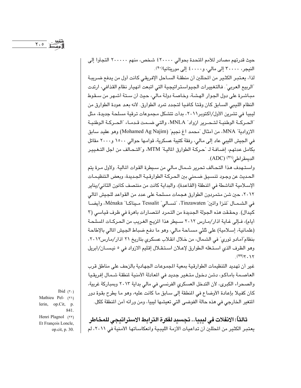حيث قدرتهم مصادر للأمم المتحدة بحوالي ٤٢٠٠٠٠ شخص، منهم ٢٠٠٠٠٠ التجأوا إلى النيجر، ٣٠٠٠٠ إلى مالي، و٤٠٠٠٠ إلى موريتانيا(٢٠).

لذا، يعتبر الكثير من المطلين أن منطقة السـاحل الإفريقي كانت أول من يدفع ضريبـة "الربيع العربي". فالتغييرات الجيواستراتيجية التي اتبعت انهيار نظام القذافي، ارتدت مباشرة على دول الجوار الهشة، وخاصة دولة مالى، حيث أن ستة أشهر من ستقوط النظام الليبي السابق كان وقتا كافيا لتجدد تمرد الطوارق. لأنه بعد عودة الطوارق من ليبيا في تشرين الأول/اكتوبر٢٠١١، بدأت تتشكل مجموعات ترقية مسلحة جديدة، مثل "الحركـة الوطنيـة لتـحـرير ازواد" MNLA، والتي ضـمت قـدمـاء "الحـركـة الوطنيـة الازوادية" MNA، من أمثال "محمد اغ نجيم" (Mohamed Ag Najim) وهو عقيد سابق في الجيش الليبي عاد إلى مالي، رفقة كتيبة عسكرية، قوامها حوالي ١٥٠٠ و٢٠٠٠ مقاتل بكامل عدتهم، إضافة لـ "حركة الطوارق المالية" MTM، و"التـحـالف من اجل التـغـييـر الديمقراطي<sup>(٢١)</sup> (ADC).

واستـهدف هذا التحـالف تحرير شـمال مـالي من سـيطرة القوات المالية. ولأول مـرة يتم الحديث عن وجـود تنسـيق ضـمنى بين الحـركـة الطوارقـيـة الـجـديدة، وبعض الـتنظيـمـات الإسلامية الناشطة في المنطقة (القاعدة)، والبداية كانت من منتصف كانون الثاني/يناير ٢٠١٢، حين شن متمردون الطوارق هجمات مسلحة على عدد من القواعد للجيش المالي في الشـمـال "تنزا واتين" Tinzawaten، "تسـالي" Tessalit مـيناكـا" Ménaka، وأيضـا كيدال). وحققت هذه الجولة الجديدة من التمرد انتصارات باهرة في ظرف قياسي (٣ أيام)، فـإلى غـايـة اذار/مـارس ٢٠١٢ سـيطر هذا المزيـج الغـريب من الـحـركـات المسلـحـة (علمانية، إسلامية) على ثلثي مساحة مالي، وهو ما دفع ضباط الجيش المالي بالإطاحة بنظام ّأمادو توري" في الشمال، من خلال انقلاب عسكري بتاريخ ٢١ اذار/مارس٢٠١٢، وهو الظرف الذي استغله الطوارق لإعلان استقلال إقليم الازواد في ٥ نيسان/ابريل  $(57)Y.1Y$ 

غير أن تهديد التنظيمات الطوارقية بمعية المجموعات الجهادية بالزحف على مناطق قرب العاصمة باماكو، دشن دخول متغير جديد في المادلة الأمنية لمنطقة شمال إفريقيا والصحراء الكبرى، لأن التدخل العسكرى الفرنسي في مالي بداية ٢٠١٣ وبمباركة غربية، كان كفيلا بإعادة الأوضاع في المنطقة إلى سابق ما كانت عليه، وهو ما يطرح بقوة دور المتغير الخارجي في هذه حالة الفوضى التي تعيشها ليبيا، ومن ورائه أمن المنطقة ككل.

ثالثاً: الانفلات في ليبيا.. تجسيد لفكرة الترابط الاستراتيجي للمخاطر يعتبر الكثير من المطلين أن تداعيات الأزمة الليبية وانعكاساتها الأمنية في ٢٠١١، لم

Ibid  $(7)$ Mathieu Pel- (٢١) lerin, op.Cit, p. 841. Henri Plagnol (٢٢) Et François Loncle, op.cit, p. 30.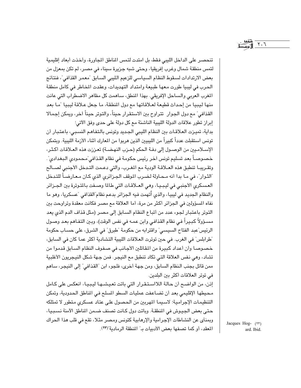$Y.7$ 

تنحصـر على الداخل الليبي فقط، بل امتدت لتمس المناطق المجاورة، وأخذت أبعاد إقليمية لتمس منطقة شمال وغرب إفريقيا، وحتى شبه جزيرة سيناء في مصـر، لم تكن بمعزل من بعض الارتدادات لسقوط النظام السياسي للزعيم الليبي السبابق "معمر القذافي"، فنتائج الحرب في ليبيا طورت معها طبيعة وامتداد التهديدات، وعقدت المخاطر في كامل منطقة المغرب العربي والساحل الإفريقي. بهذا المنطق، ساهمت كل مظاهر الاضطراب التي عانت منها ليبيا من إحداث قطيعة لعلاقاتها مع دول المنطقة، ما جعل علاقة ليبيا "ما بعد القذافي" مع دول الجوار تتراوح بين الاستقرار حيناً، والتوتر حيناً آخر، ويمكن إجمالا إبراز تطور علاقات الدولة الليبية الناشئة مع كل دولة على حدى وفق الآتي؛

بداية، تميزت العلاقات بين النظام الليبي الجديد وتونس بالتفاهم النسبي، باعتبار أن تونس استقبلت عدداً كبيراً من الليبيين الذين هربوا من المعارك أثناء الأزمة الليبية. وبتمكن الإسـلامـيين من الوصـول إلى دفـة الحكم (حـزب النهـضـة) تعـززت هذه العـلاقـات أكـثـر، خصوصـاً بعد تسليم تونس اَخر رئيس حكومة في نظام القذافي ّمـحمودي البـغدادي". وتقريبـا تنطبق هذه العـلاقـة الودية مع المغـرب، والتي دعـمت التـدخل الأجنبي لصـالح "الثوار"، في مـا بدا أنه مـحـاولة لـضـرب الموقف الـجـزائري الذي كـان مـعـارضـاً للتـدخل العسكري الأجنبي في ليبيا، وهي العلاقات التي طالما وصفت بالتوترة بين الجزائر والنظام الجديد في ليبيا، والذي أُتهمت فيه الجزائر بدعم نظام ّالقذافي "عسكريا، وهو ما نفاه المسؤولين في الجزائر أكثر من مرة، أما العلاقة مع مصـر فكانت معقدة وتراوحت بين التوتر باعتبار لجوء عدد من أتباع النظام السابق إلى مصر (مثل قذاف الدم الذي يعد مسـرؤولاً كبـيراً فـي نظام القذافـي وابن عمـه فـي نفس الوقت)، وبـين التفـاهم بعـد وصـول الرئيس"عبد الفتاح السيسى" واقترابه من حكومة "طبرق" في الشرق، على حسـاب حكومة "طرابلس" في الغرب. في حين توترت العلاقات الليبية التشادية أكثر عما كان في السابق، خصوصا وأن أعداد كبيرة من المقاتلين الأجانب في صفوف النظام السابق قدموا من تشاد، وهي نفس العلاقة التي تكاد تنطبق مع النيجر. فمن جـهة شكل النيجريون الأغلبية ممن قاتل بجنب النظام السابق، ومن جهة أخرى، فلجوء ابن "القذافي" إلى النيجر، ساهم في توتر العلاقات أكثر بين البلدين.

إذن، من الواضح أن حالة اللااستقرار التي باتت تعيشها ليبيا، انعكس على كامل محيطها الإقليمي بعد أن تضاعفت عمليات السطو المسلح في المناطق الحدودية، وتمكن التنظيمات الإجرامية؛ لاسيما المهربين من الحصول على عتاد عسكرى متطور لا تمتلكه حتى بعض الجيوش في المنطقة. وباتت دول كـانت تصنف ضـمن الناطق الآمنة نسببيا، وبمنأى عن النشاطات الإجرامية والإرهابية كتونس ومصر مثلا، تقع في قلب هذا الحراك المعقد، أو كما تصفها بعض الأدبيات به" المنطقة الرمادية"(٢٣).

Jacques Hog- (٢٣) ard. Ibid.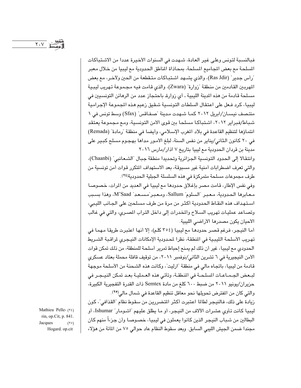فبالنسبة لتونس وعلى غير العادة، شهدت في السنوات الأخيرة عددا من الاشتباكات المسلحة مع بعض المجاميع المسلحة، بمحاذاة المناطق الحدودية مع ليبيا من خلال معبر "رأس جدير" (Ras Jdir)، والذي يشـهد اشـتبـاكات مـتـقطعـة من الحين ولآخـر، مـع بعض المهربين القادمين من منطقة "زوارة" (Zwara)، والذي قامت فيه مجموعة تهريب ليبية مسلحة قادمة من هذه الدينة الليبية ـ أي زوارة باحتجاز عدد من الرهائن التونسيين في ليبيا، كرد فـعل على اعتقال السلطات التونسية شـقيق زعيم هـذه المجموعة الإجرامية منتصف نيسـان/ابريل ٢٠١٢ كمـا شـهدت مـدينة "صـفـاقس" (Sfax) وسط تونس في ١ شباط/فبراير ٢٠١٢، اشتباكا مسلحا بين قوى الأمن التونسية، ومع مجموعة يعتقد انتماؤها لتنظيم القاعدة في بلاد المغرب الإسلامي، وأيضا في منطقة "رمادة" (Remada) في ٢٠ كانون الثاني/يناير من نفس السنة، لبلغ الأمور مداها بهجوم مسلح كبير على مدينة بن قردان الحدودية مع ليبيا بتاريخ ٧ اذار/مارس ٢٠١٦

وانتقالا إلى الحدود التونسية الجزائرية وتحديدا منطقة جبال "الشعانبي" (Chaanbi)، والتي تعرف اضطرابات أمنية غير مسبوقة، بعد الاستهداف المتكرر قوات أمن تونسية من طرف مجموعات مسلحة متمركزة في هذه السلسلة الجبلية الحدودية(٢٤).

وفي نفس الإطار، قامت مصر بإغلاق حدودها مع ليبيا في العديد من المرات، خصوصا معابرها الحدودية، معبر "السلوم" Sallum، ومعبر"مسعد" M'Saad، وهذا بسبب استهداف هذه النقاط الحدودية أكثر من مرة من طرف مسلحين على الجـانب الليبي، وتصاعد عمليات تهريب السلاح والمخدرات إلى داخل التراب المصرى، والتي في غالب الأحيان يكون مصدرها الأراضي الليبية.

أما النيجر، فرغم قصر حدودها مع ليبيا (٣٥٤ كلم)، إلا أنها اعتبرت طريقا مهما في تهريب الأسلحة الليبية في المنطقة، نظرا لمحدودية الإمكانات النيجري لمراقبة الشـريط الحدودي مع ليبيا، غير أن ذلك لم يمنع إحباط تمرير أسلحة للمنطقة، من ذلك تمكن قوات الأمن النيجيرية في ٦ تشرين الثاني/نوفمبر ٢٠١١، من توقيف قافلة محملة بعتاد عسكري قادمة من ليبيا، باتجاه مالي في منطقة "ارليت"، وكانت هذه الشحنة من الأسلحة موجهة لبعض الجـمـاعـات المسلـحـة في المنطقـة، وتأتـى هذه العـمليـة بعـد تمكن النيـجـر في حزيران/يونيو ٢٠١١ من ضبط ٦٠٠ كلغ من مادة Semtex ذات القدرة التفجيرية الكبيرة، والتي كان من المفترض تحويلها نحو معاقل تنظيم القاعدة في شمال مالي<sup>(٢٥</sup>).

زيادة على ذلك، فالنيجر لطالما اعتبرت أكثر المتضررين من سقوط نظام "القذافي"، كون ليبيا كانت تـأوى عشـرات الآلاف من النيجر، أو ما يطلق عليـهم "اشـومـار" Ishumar، أو البطالين من شباب النيجر الذين كانوا يعملون في ليبيا، خصـوصـا وأن جزءاً منهم كان مجندا ضمن الجيش الليبي السابق. وبعد سقوط النظام عاد حوالي ٧٥ من المائة من هؤلاء

Mathieu Pelle- (٢٤) rin, op.Cit, p. 841. Jacques  $(50)$ Hogard. op.cit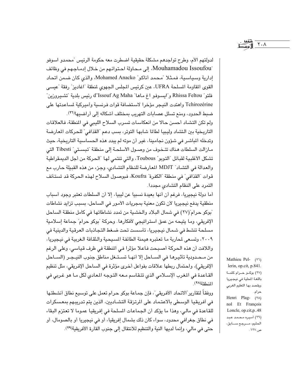لدولتهم الأم، وطرح تواجدهم مشكلة حقيقية اضطرت معه حكومة الرئيس "محمدو اسوفو "Mouhamadou Issoufou، إلى محاولة احتوائهم من خلال إدماجهم في وظائف إدارية وسياسية، فمثلا "محمد أناكو" Mohamed Anacko، والذي كان ضمن اتحاد القوى المقاومة المسلحة UFRA، عين كرئيس المجلس الجهوى لمنطقة "اغاديز" رفقة "عيسى فلتو" Rhissa Feltou و"ايسىوفو اغ مـاهـا" d'Issouf Ag Maha رئيس بلدية "تشـيروزين" Tchirozérine واهتدت النيجر مؤخرا لاستضافة قوات فرنسية وأميركية لساعدتها على ضبط الحدود، ومنع تسلل عصابات التهريب بمختلف أشكاله إلى أراضيها(٢٦).

ولم تكن التشاد أحسن حالا من انعكاسات تسرب السلاح الليبي في المنطقة، فالعلاقات التاريخية بين التشاد وليبيا لطالما شابها التوتر، بسب دعم "القذافي" للحركات المعارضة وتدخله الباشر في شؤون نجامينا، غير أن موته لم يبدد هذه الحساسية التاريخية، حيث مـازالت السلطات هناك تتـخـوف من وصــول الأسلـحـة إلى منطقة "تبسـتى" Tibesti التي تشكل الأغلبية لقبائل "التوبو" Toubous، والتي تنتمي لها "الحركة من أجل الديمقراطية والعدالة في التشاد" MDJT المعارضة للنظام التشادي، وجزء من هذه القبيلة حارب مع قوات "القذافي" في منطقة "الكفرة" Koufra، فبوصول السلاح لهذه الحركة قد تستأنف التمرد على النظام التشادى مجددا.

أما دولة نيجيريا، فرغم أن أنها بعيدة نسبيا عن ليبيا، إلا أن السلطات تعتبر وجود أسباب منطقية يدفع نيجيريا لأن تكون معنية بمجريات الأمور في الساحل، بسبب تزايد نشاطات "بوكو حرام"(٢٧) في شمال البلاد والخشية من تمدد نشاطاتها في كامل منطقة الساحل الإفريقي، وما يتيحه من عمق استراتيجي لأفكارها. وحركة "بوكو حرام" جماعة إسلامية مسلحة تنشط في شمال نيجيريا، تأسست تحت ضغط التجاذبات العرقية والدينية في ٢٠٠٩، وتسعى لحاربة ما تعتبره هيمنة الطائفة المسيحية والثقافة الغربية في نيجيريا، واللافت أن هذه الحركة أصبحت فاعلا مؤثرا في المنطقة في ظرف قياسي، وعلى الرغم من مـحـدودية تأثيـرهـا في الســاحل إلا أنهـا تسـتـغل مناطق جنوب النيـجـر (الســاحل الإفريقي)، واحتمال ربطها علاقات بفواعل أخرى مؤثرة في الساحل الإفريقي، مثل تنظيم القـاعدة في المغرب الإسـلامي الذي تتـقاسم مـعه التـوجه المعادي لكل مـا هو غـربي في المنطقة (٢٨).

ووفقاً لتقارير"الاتحاد الأفريقي"، فإن جماعة بوكو حرام تعمل على توسيع نطاق أنشطتها في أفريقيا الوسطى بالاعتماد على المرتزقة التشاديين، الذين يتم تدريبهم بمعسكرات للقاعدة في مالي، وهذا ما يؤكد أن الجماعات المسلحة في إفريقيا عموما لا تعتزم البقاء في نطاق جغرافي محدود، سواء كان ذلك بشمال إفريقيا، أو في نيجيريا أو بالصومال، أو حتى في مالي، وإنما لديها النية والتنظيم للانتقال إلى جنوب القارة الأفريقية(٢٩). Mathieu Pel- (٢٦) lerin, op.cit, p.841. (٢٧) بوكو حرام كلمة باللغة المطية في نيجيريا ويقصد بها التعليم الغربى حرام. Henri Plag- (٢٨) nol Et François Loncle, op.cit, p..48 (۲۹) أميره محمد عبد الحليم، مرجع سابق، ص.۱۲۷ .

 $\mathsf{Y} \cdot \mathsf{Y}$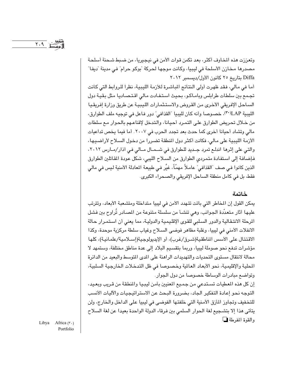وتعززت هذه المخاوف أكثر، بعد تكمن قوات الأمن في نيجيريا، من ضبط شحنة أسلحة مصدرها مخازن الأسلحة في ليبيا، وكانت موجها لحركة "بوكو حرام" في مدينة "ديفا" Diffa بتاريخ ٢٥ كانون الأول/ديسمبر ٢٠١٢

أما في مالي، فقد ظهرت أولى النتائج المباشرة للأزمة الليبية، نظرا للروابط التي كانت تجمع بين سلطات طرابلس وباماكو، بحيث استفادت مالى اقتصاديا مثل بقية دول الساحل الإفريقي الأخرى من القروض والاستثمارات الليبية عن طريق وزارة إفريقيا الليبية LAP")، خصوصا وأنه كان لليبيا "القذافي" دور فاعل في توجيه ملف الطوارق، من خـلال تحريض الطوارق على التمـرد أحيـانا، والتدخل لإقناعـهم بالحوار مـع سلطات مالي وتشاد أحيانا أخرى كما حدث بعد تجدد الحرب في ٢٠٠٧. أما فيما يخص تداعيات الأزمة الليبية على مالي، فكانت أكثر دول المنطقة تضررا من دخول السلاح لأراضيها، والتی علی إثرها اندلع تمرد جـدید للطوارق فی شـمـال مـالی فی آذار/مـارس ٢٠١٢، فإضافة إلى استفادة متمردي الطوارق من السلاح الليبي، شكل عودة المقاتلين الطوارق الذين كانوا في صف "القذافي" عامـلاً مهمّاً، غيَّر في طبيعة المعادلة الأمنية ليس في مالي فقط، بل في كامل منطقة الساحل الإفريقي والصحراء الكبرى.

## خاتمة

يمكن القول إن المخاطر التي باتت تتهدد الأمن في ليبيا متداخلة ومتشعبة الأبعاد، وتترتب عليها أثار متعدّدة الجوانب، وهي تنشـأ من سلسلة متنوعة من المصـادر تُراوح بين فشل المرحلة الانتقالية والدور السلبي للقوى الإقليمية والدولية، مما يعني أن استمرار حالة الانفلات الأمنى في ليبيا، وغلبة مظاهر فوضى السلاح وغياب سلطة مركزية موحدة، وكذا الاقتتال على الأسس المناطقية(شرق/غرب)، أو الإيديولوجية(إسلامية/علمانية)، كلها مؤشرات تدفع نحو صوملة ليبيا، وربما بتقسيم البلاد إلى عدة مناطق مختلفة، وستمهد لا محالة لانتقال مستوى التحديات والتهديدات الراهنة على المدى المتوسط والبعيد من الدائرة المحلية والإقليمية، نحو الأبعاد العالمية وخصوصا في ظل التدخلات الخارجية السلبية، وتواضع مبادرات الوساطة خصوصا من دول الجوار.

إن كل هذه المعطيات تستدعى من جميع المعنيين بأمن ليبيا والمنطقة من قريب وبعيد، التوجه نحو إعادة التفكير الجاد، بضرورة البحث عن الاستراتيجيات والآليات الأنسب للتخفيف وتجاوز المأزق الأمنية التي خلفتها الفوضى في ليبيا على الداخل والخارج، ولن يتأتى هذا إلا بتشجيع لغة الحوار السلمي بين فرقاء الدولة الواحدة بعيدا عن لغة السلاح والقوة المفرطة ل

Libya Africa (٣٠) Portfolio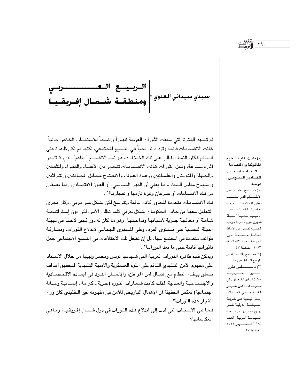| الـــربــيـــع الــعـــــــــــــــــــــــــــربــي<br>سيدي سيداني العلوي \*|<br>ومنطقــة تشـــمــال إفــريقــيــا

لم تشـهد الفترة التي سبقت الثورات العربية ظهوراً واضـحـاً للاستقطاب الخـاص حالياً، كانت الانقسـامـات قائمـة وتزداد تدريجياً في النسـيج المجتمـعي، لكنهـا لم تكن ظاهرة على السطح فكان النمط الغـالب على تلك الخـلافـات، هـو نمط الانقسـام "الناعم" الذي لا تظهر أثاره بسـرعة، وقبل الثورات كـانت الانقسـامـات تتجـذر بين الأغنيـاء والفقـراء والمثقـفين والجهلة والمتدينين والعلمانيين ودعاة العولة، والانفتاح مـقـابل المحـافظين والتـراثيين والشيوخ مقابل الشباب، ما يعني أن القهر السياسي، أو العوز الاقتصادي ربما يعمقان من تلك الانقسامات أو يسرعان وتيرة تأزمها وانفجارها(١).

تلك الانقسامات متعددة المحاور كانت قائمة وتترسخ لكن بشكل غير مرئى، وكان يجرى التعامل معها من جانب الحكومات بشكل جزئي كلما تطلب الأمر، لكن دون إستراتيجية شـاملة أو مـعالـجة جذرية لأسبـابهـا وتداعيتـهـا، وهو مـا كان له دور كبير لاحـقـاً في تهيئة البيئة النفسية على مستوى الفرد، وعلى المستوى الجماعي لاندلاع الثورات، ومشاركة طوائف متعددة في المجتمع فيها، بل إن تغلغل تلك الاختلافات في النسيج الاجتماعي جعل تأثيراتها قائمة حتى ما بعد الثورات(٢).

ويمكن فهم ظاهرة الثورات العربية التي شهدتها تونس ومصر وليبيا من خلال الاستناد على مفهوم الأمن التقليدي القائم على القوة العسكرية والأمنية التقليدية، لتحقيق أهداف تتعلق ببقاء النظام مع إهمـال امن المواطن، والإنسـان الفـرد في أبعـاده الاقتـصـادية والاجتماعية والعدلية، لذلك كانت شعارات الثورة (حرية ـ كرامة ـ إنسانية وعدالة اجتماعية) تعكس الحقيقة أن الإهمال التاريخي للأمن في مفهومه غير التقليدي كان وراء انفجار هذه الثورات(٣).

فما هي الأسبـاب التي أدت إلى اندلاع هذه الثـورات في دول شـمـال إفـريقـيـا؟ ومـاهي انعكاساتها؟

(\*) باحث، كليـة الـعلوم القانونية والاقتصادية. سلا، جامعة محمد الخــامس الســوسى ـ الرباط.

القواني المقرر التي التي تحقيق المستشرك التي تعالى التي تعالى التي تعالى التي تعالى التي تعالى التي تعالى التي<br>منابع التي تعالى التي تعالى التي تعالى التي تعالى التي تعالى التي تعالى التي تعالى التي تعالى التي تعالى التي<br>

(١) سامح راشد: هل الانقسام الذي تشهده بعض الجتمعات العربية يعكس استقطابا سياسيا ام دينيا مدنيا مجلة شؤون عربية مجلة قومية فصلية تصدر عن الأمانة العامة لجامعة الدول العربية العدد ١٥٣السنة ٢٠١٣، الصفحة ٤٧

(٢) سامح راشد: نفس المرجع السابق ص ٤٧ (۳) د مـــصطفی علوی: الثورات العسربية وإشكاليات التعاون في مسجسالات الأمن غسيسر التــــقليــــدي، تحـــــولات إستراتيجية على خريطة السياسة الدولية ملحق دوري يصـــدر عن مـــجلة السياسة الدولية العدد الصفحة ٣٧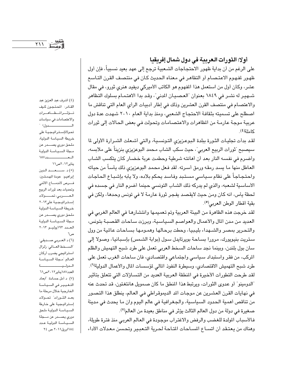أولا: الثورات العربية في دول شمال إفريقيا على الرغم من أن بداية ظهور الاحتجاجات الشـعبية ترجع إلى عهد بعيد نسبياً، فإن أول ظهور لفهوم الاعتصام أو التظاهر في معناه الحديث كان في منتصف القرن التاسع عشر، وكان أول من استعمل هذا المفهوم هو الكاتب الأميركي ديفيد هنري ثورو، في مقال شـهير له نشـر في ١٨٤٩ بعنوان "العـصـيـان المدنى"، وقـد بدا الاهتـمـام بسلوك التظاهر والاعتصـام في منتصف القرن العشرين وذلك في إطار أدبيات الرأي العام التي تناقش ما اصطلح على تسميته بثقافة الاحتجاج الشعبي، ومنذ بداية العام ٢٠١٠ شهدت عدة دول عربية موجة عارمة من الظاهرات والاعتصامات وتحولت في بعض الحالات إلى ثورات كاملة(٤).

لقد بدأت تجليات الثورة ببلدة البوعزيزي التونسية، والتي أشعلت الشـرارة الأولى لما سيصبح "ثورات الربيع العربي"، حيث سكب الشاب محمد البوعزيزي بنزيناً على ملابسه، وأضرم في نفسه النار بعد أن أهانته شرطية وحطمت عربة خضبار كان يتكسب الشباب العاطل منها ما يسد رمقه ورمق أسرته. لقد فعل محمد البوعزيزي ذلك يأسأ من حياته واحتجاجاً على نظام سـياسى مسـتـبد وفـاسـد يحكم بلاده، ولا يأبه بإشـبـاع الـحـاجـات الأساسية لشعبه، والذي لم يدركه ذلك الشاب التونسي حينما أضرم النار في جسده في لحظة يأس، انه كان ومن حيث لايقصد يفجر ثورة عارمة لا في تونس وحدها، ولكن في بقية أقطار الوطن العربي<sup>(0</sup>).

لقد خرجت هذه الظاهرة من البيئة العربية وتم تعميمها وانتشارها في العالم الغربي في العديد من مدن المال والأعمال والعواصم السياسية، وبرزت ساحات القصبة بتونس، والتحرير بمصر والشهداء بليبيا، وحطت برحالها وهمومها بساحات عالمية من وول ستريت بنيويورك، مرورا بسـاحة بويرتايدل سـول (بوابة الشـمس) بإسـبـانيـا، وصـولا إلى سان بول بلندن، وبينما نجد ساحات السخط العربي تعمل على طرد شبح التهميش والظلم المركب، من فقر واستبداد سياسي واجتماعي واقتصادي، فان ساحات الغرب تعمل على طرد شبح التهميش الاقتصادي، وسيطرة النفوذ المالي لمؤسسات المال والأعمال الدولية(٦). لقد طرحت التطورات الأخيرة في النطقة العربية العديد من التسـاؤلات التي تتعلق بتأثير "الدومينو" أو عدوى الثورات، ويرتبط هذا المنطق ما كان صمويل هانتغتون، قد تحدث عنه في نهايات القرن العشرين عن موجات المد الديموقراطي في العالم، ينطلق هذا التصور من تناقص أهمية الحدود السياسية، والجغرافية في عالم اليوم وان ما يحدث في مدينة صغيرة في دولة من دول العالم الثالث يؤثر في مناطق بعيدة من العالم<sup>(٧)</sup>.

فالأسباب المولدة للغضب والرفض والاغتراب موجودة في العالم العربي منذ فترة طويلة، وهناك من يعتقد أن اتساع المساحات المتاحة لحرية التعبير وتحسن معدلات الأداء

(٤) اشرف عبد العزيز عبد القادر: المحتجون كيف تؤثرالمظاهرات والاعتصامات في سياسات السيستسمدول؟ " تحولاتإستراتيجية على خريطة السياسة الدولية، ملحق دوري يصـــــدر عن مجلة السياسة الدولية المستسلدد١٨٧ ینایر۲۰۱۲ص۱۱

إبراهيم: عودة المهمشين: فسرص لاندمساج الاثني وتحديات بعد ثورات الربيع العسربي، تحسولات إستراتيجية على٢٠١٣ خريطة السياسة الدولية ملحق دوري يصــــدر عن مجلة السياسة الدولية العدد ١٩٢يوليو ٢٠١٣ ص٦

(٦) د العــربي صـــديقي: السخط العالمي: زلزال استراتيجي يضرب أركان العالم مجلة السياسة العدد١٨٧يناير٢٠١٢ص٦١ (٧) د أمل حمادة: "أبعاد التغيير في السياسة الخارجية خلال مرحلة ما بعد الشورات" تحولات إستراتيجية على خارطة السياسة الدولية ملحق دوري يصـــدر عن مـــجلة السياسة الدولية عدد ١٨٤ابريل٢٠١١ ص ٢٤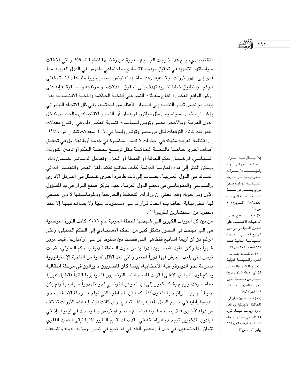الاقتصادي، ومع هذا خرجت الجموع معبرة عن رفضها لنظم قائمة(٨)، والتي أخفقت سياساتها التنموية في تحقيق مردود اقتصادي، واجتماعي ملموس في الدول العربية، مما أدى إلى ظهور ثورات اجتماعية، وهذا ماشهدته تونس ومصر وليبيا منذ عام ٢٠١١، فعلى الرغم من تطبيق خطط تنموية تهدف إلى تحقيق معدلات نمو مرتفعة ومستقرة، فإنه على ارض الواقع انعكس ارتفاع معدلات النمو على النخبة الحاكمة والنخبة الاقتصادية بها، بينمـا لم تصل ثمـار التنميـة إلى السـواد الأعظم من المجتمع، وفـى ظل الاتجاه الليـبرالي يؤكد الباحثون السياسيون مثل ميلتون فريدمان أن التحرر الاقتصادي والحد من تدخل الدول العربية، وبالأخص مصر وتونس لسياسات تنموية انعكس ذلك في ارتفاع معدلات النمو فقد كانت التوقعات لكل من مصر وتونس وليبيا في٢٠١٠ بمعدلات تقترب من ٦٪(٩). إن الأنظمة العربية منهكة في أجندات لا تصب مباشرة في خدمة أوطانها، بل في تحقيق أهداف أخرى خاصة بالنخبة الحاكمة مثل ترسيخ قبضة الحكم أو تامين التوريث السيباسي، أو ضمان حكم العائلة أو القبيلة أو الحزب وتعديل الدساتير لضمان ذلك، ويمكن النظر إلى هذه المـارسة الدائمـة، كأحد مـفاتيح تفكيك لـغـز الـعـجـز والتهمـيش الذاتي السـائد فـي الدول العـربيـة، يضـاف إلى ذلك ظاهرة أخـرى تتـمـثل فـي التـرهل الإداري والسياسي والدبلوماسي في معظم الدول العربية، حيث يتركز صنع القرار في يد المسؤول الأول ومن حوله، وهذا يعني إن وزارات التخطيط والخارجية ودبلوماسيتها لا دور حقيقى لها، فـفي نهاية المطاف يتم اتخـاذ قرارات على مـسـتويات عليـا ولا يسـاهم فيـها إلا عدد محدود من المستشارين المقربين(١٠).

من بين كل الثورات الكبرى التي شهدتها المنطقة العربية عام ٢٠١١ كانت الثورة التونسية هي التي نجحت في التحول بشكل كبير من الحكم الاستبدادي إلى الحكم التمثيلي، وعلى الرغم من أن أربعة أسابيع فقط هي التي فصلت بين سقوط "بن علي "و"مبارك"، فبعد مرور شهراً بدا وكأن عقود تفصل بين الدولتين من حيث السلطة الدنية والحكم التمثيلي، تقدمت تونس التي يلعب الجيش فيها دوراً اصغر والتي تعد الأقل أهمية من الناحية الإستراتيجية بسرعة نحو الديموقراطية الانتخابية، بينما كان المصريون لا يزالون في مرحلة انتقالية يحكم فيها المجلس الأعلى للقوات المسلحة أما التونسيون فلم يغيروا قائداً فقط بل غيروا نظاما، وهذا يرجع بشكل كبير إلى أن الجيش التونسي لم يمثل دوراً سياسـياً ولم يكن حليفاً جيوستراتيجيا للغرب(١١)، كمـا أن المـاطر، التي تواجه مـرحلة الانتـقال نـحو الديموقراطية في جميع الدول المعنية بهذا التحدي، وان كانت أوضـاع هذه الثورات تختلف من دولة لأخرى فـلا يصـِّح مـقـارنة أوضـاع مـصـر أو تونس بما يحـدث في ليـبيـا. إذ في البلدين المذكورين توجد دولة راسخة في القدم، قد تقاوم التغيير لكنها تبقى العمود الفقري لتوازن المجتمعين، في حين أن معمر القذافي قد نجح في ضرب رمزية الدولة واضعف

(٨) جمال عبد الجواد: المصلحة والهسوية والمؤسسسات تحولات إستراتيجية على خارطة السياسة الدولية ملحق دوري يصـــدر عن مـــجلة السياسة الدولية العدد١٨٦ أكتوبر٢٠١١ ص ۲٤ (۹) عـبــيــر ربيع يونس: تداعيات الاقتصاد على التحول السياسي في دول الربيع العربي "، مـجلة السيياسة الدولية عدد ١٩١السنة ٢٠١٣ ص ٢٩ (١٠) د خالد حــرب: " العرب والسياسة الدولية انعدام التأثير والتهميش الذاتي " مجلة شؤون عربية تصدر عن جامعة الدول العربية العدد ١٤٠ شتاء ٢٠٠٩ص١٧.١٨ (١١) د جاسون براونلي: المحافظة الأميركية "رد فعل إدارة اوباما تجاه ثورة ٢٥يناير في مصـر" مـجلة السياسة الدولية العدد١٨٩ یولیو ۲۰۱۲ص۶۲

 $Y \setminus Y$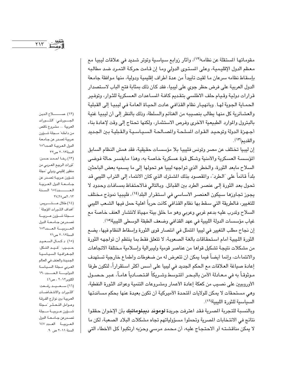مقوماتها المستقلة عن نظامه(١٢)، وأثار زوابع سياسية وتوتر شديد في علاقات ليبيا مع معظم الدول الإقليمية، وعلى المستوى الدولي وما إن قـامت حركـة التمـرد ضـد مطالبه بإسقاط نظامه سرعان ما لقيت تأييداً من عدة أطراف إقليمية ودولية، منها موافقة جامعة الدول العربية على فرض حظر جوى على ليبيا، فقد كان ذلك بمثابة فتح الباب لاستصدار قرارات دولية وقيام حلف الاطلسى بتقديم كافة السـاعدات العسكرية للثوار، وتوفير الحمـاية الجوية لهـا. وبانهيـار نظام القذافـى عـادت الحيـاة العـامـة فـى ليبيـا إلى القبلية والعشـائرية كل منها يطالب بنصـيبه من الغنائم والسلطة، وذلك بالنظر إلى أن ليبيا غنية بالبترول والموارد الطبيعية الأخرى وفرص الاستثمار، ولكنها تحتاج إلى وقت لإعادة بناء أجهزة الدولة وتوحيد القوات المسلحة والمسالحة السياسية والقبلية بين الجديد والقديم(١٣).

إن ليبيا تختلف عن مصر وتونس فليبيا بلا مؤسسات حقيقية، فقد همش النظام السابق المؤسسـة العسكرية والأمنية وشكل قوة عسكرية خاصـة به، وهذا مـايفسـر حـالة فوضـى السلاح مابعد الثورة، والخطر الذي تواجهه ليبيا هو تحولها إلى ما يسميه بعض الباحثين بلداً قائماً على "الطرد"، والمقصود بذلك المشترك الذي كان الانتماء إلى التراب الليبي قد تحول بعد الثورة إلى عنصـر الطرد بين القبائل. وبالتالي فـالاحـتفـاظ بمسـافـات وحدود لا يجوز تجاوزها سيكون العنصر الأساسي في استقرار البلد<sup>(١٤)</sup>، فليبيا نموذج مختلف للتغيير، فالطريقة التي سقط بها نظام القذافي كانت حرباً أهلية حمل فيها الشعب الليبي السلاح وتدرب عليه بدعم غربي وعربي وهو ما خلق بيئة مهيأة لانتشار العنف خاصة مع غياب مؤسسات الدولة الليبية في عهد القذافي وضعف الطبقة الوسطى الليبية(١٥).

إن نجاح مطلب التغيير في ليبيا المتمثل في انتصار قوى الثورة وإسقاط النظام فيها، يضع الثورة الليبية أمام استحقاقات بالغة الصعوبة، لا تتعلق فقط بما ينتظم أن تواجهه الثورة من مشكلات نتيجة تشكيل قواها من عناصر قومية وليبرالية وإسلامية مختلفة الاتجاهات والانتماءات، وإنما أيضاً فيما يمكن أن تتعرض له من ضغوطات وأطماع خارجية تستهدف إعادة صياغة العلاقات مع الحكم الجديد في ليبيا على أسس أكثر استقراراً، لتكون طرفا مـوثوقـاً به في مـعـادلة الأمن بالبـحـر المتوسط وشـريكاً اقـتـصـادياً هامـاً، عـبر حـصـول الأوروبيين على نصيب من كعكة إعادة الأعمار ومشروعات التنمية وعوائد الثورة النفطية، وهي مستحقات لا يمكن للولايات المتحدة الأميركية أن تكون بعيدة عنها بحكم مساندتها السياسية للثورة الليبية(١٦).

وبالنسبة للتجربة الصرية فقد اعترفت جريدة لوموند ديبلوماتيك بأن الإخوان حققوا نتائج في الانتخابات المصرية وتحملوا مسؤولياتهم تجاه مشكلات البلاد الصعبة، لكن ما لا يمكن مناقشته أو الاحتجاج عليه، أن محمد مرسى وحزبه ارتكبوا كل الأخطاء التي

(١٢) صـــــــــــلاح الندين الجــــورشـي: "الشـــورات العربية ... مشروع ناقص من داخله" مـجلة شـوؤن عربية تصدر عن جامعة الدول العربية العدد\١٥ السنة٢٠١٣ ص٣٢ (١٣) رخا احمد حسن: 'ثورات الربيع العـربي من منظور إقليمي ودولي "مجلة شـؤون عـربيـة تصـدر عن جامعة الدول العربية العسدد ١٥٤ السنة ۲۰۱۳ص۲۷\_۲۷ (١٤) طلال عصقص بس: "أهداف الشورات المؤجلة " مبطة شؤون عربية تصدرعن جامعة الدول العربية العدد ١٥٢ السنة٢٠١٢ ص٢١ (١٥) د كمال السعيد حبيب: "قيد الشكل: الجغرافية السياسية الجديدة والعنف في العالم العربي مجلة السياسة الدولية العسدد ١٩٠ اکتوبر۲۰۱۲ ، ص۱٤ (١٦) ستعنيند رفيعت: الثورات والانتفاضات العربية بين نوازع الفرقة وعوامل التعشر لمجلة شوؤون عربية مبجلة تصدرعن جامعة الدول العربية العدد ١٤٧ السنة ٢٠١١ ص ٩.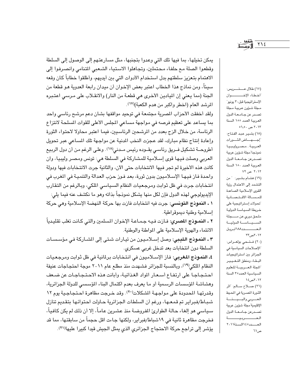يمكن تخيلها، بما فيها تلك التي وعدوا بتجنبها، مثل مسارعتهم إلى الوصول إلى السلطة وقطعوا الصلة مع حلفاء محتملين، وتجاهلوا الاستياء الشعبي المتنامي وانصرفوا إلى الاهتمام بتعزيز سلطتهم بدل استخدام الأدوات التي بين أيديهم، وأطلقوا خطاباً كان وقعه سيئاً، ومن نماذج هذا الخطاب اعتبر بعض الإخوان أن ميدان رابعة العدوية هو قطعة من الجنة (مما يعني إن الميادين الأخرى هي قطعـة من النار) والانقـلاب على مـرسـي اعتـبره المرشد العام (اخطر واكبر من هدم الكعبة)(١٧).

ولقد أخفقت الأحزاب المصرية مجتمعة في توحيد مواقفها بشان دعم مرشح رئاسي واحد بما يساعد على تعظيم فرصه في مواجهة مساعى المجلس الأعلى للقوات المسلحة لانتزاع الرئاسة، من خلال الزج بعدد من المرشحين الرئاسيين، فيما اعتبر محاولا لاحتواء الثورة وإعادة إنتاج نظام مبارك، لقد عجزت النخب المدنية عن مواجهة تلك المساعى عبر تحويل أطروحــة تشكيل فــريق رئاسـي يقــوده رئيس مــدنى(١٨). وعلـى الرغم من أن دول الربيع العربي وصلت فيها قوى إسلامية للمشاركة في السلطة هي: تونس ومصر وليبيا، وان كانت هذه الأخيرة لم تجر فيها الانتخابات حتى الآن، والثانية جرت الانتخابات فيها ودولة واحدة فاز فيها الإسلاميون بدون ثورة، بعد فـوز حزب العدالة والتنمية في المغرب في انتخابات جرت في ظل ثوابت ومرجعيات النظام السياسي الملكي، وبالرغم من التقارب الإيديولوجي لهذه الدول فإن لكل منها يشكل نموذجاً بذاته وهو ما نكشف عنه فيما يلي: ١ ـ النموذج التونسي: جرت فيه انتخابات فازت بها حركة النهضة الإسلامية وهي حركة إسلامية وطنية ديموقراطية.

٢ ـ النمــوذج المصرى: فـازت فـيـه جـمـاعـة الإخـوان المسلمين والتـى كـانت تغلب تقليـدياً الانتماء والهوية الإسلامية على المواطنة والوطنية.

٣ ـ النموذج الليبي: وصل إسلاميون من تيارات شتى إلى الشاركة في مؤسسات السلطة دون انتخابات بعد تدخل غربي عسكري.

٤ـ النموذج المغربي: فاز الإسـلاميون في انتخابات برلمانية في ظل ثوابت ومرجعيات النظام الملكي(١٩)، وبالنسبة للجزائر فشهدت منذ مطلع عام ٢٠١١ موجة احتجاجات عنيفة احتجاجا على ارتفاع أسعار المواد الغذائية، وأبانت هذه الاحتجاجات عن ضعف وهشاشة المؤسسات الرسمية أو ما يعرف بعدم اكتمال البناء المؤسسى للدولة الجزائرية، وقدرتها المدودة على مواجهة الشكلات (٢٠). وقد خرجت مظاهرة احتجاجية يوم ١٢ شباط/فبراير تم قمعها، ورغم أن السلطات الجزائرية حاولت احتوائها بتقديم تنازل سياسي هو إلغاء حالة الطوارئ المفروضة منذ عشرين عاماً، إلا أن ذلك لم يكن كافياً، فخرجت مظاهرة ثانية في ١٩شباط/فبراير، ولكنها جاءت اقل حجماً من سابقتها، مما قد يؤشر إلى تراجع حركة الاحتجاج الجزائري الذي يمثل الجيش قيدا كبيرا عليها(٢١).

(١٧) طلال عستسريس: أخطاء الإخصصوان الإستراتيجية قبل٣٠ يونيو مجلة شؤون عربية مجلة تصدر عن جامعة الدول العربية العدد ١٥٥ السنة ۲۰۱۳ ص ۰۵\_۰۱ (١٨) بشير عبد الفتاح: إجهاض الثورات العربية مصروليبيا نموذجا مجلة شؤون عربية تصدرعن جامعة الدول العربية العدد ١٥٠ السنة ۲۰۱۲ ص ۷۲ (١٩) هشام بشير: "من التشدد إلى الاعتدال رؤية القوى الإسلامية الصاعدة للمسالة الاقتصادية تحولات إستراتيجية على خريطة السياسة الدولية ملحق دوري عن مـــجلة السسياسة الدولية العسسدد١٨٨ ابريل ٢٠١٢ص٢٢ (٢٠) فتحي بولعـراس: "الإصلاحات السياسية في الجزائر بين استراتيجيات البقاء ومنطق التغيير اللجلة العربيسة للعلوم السياسية العدد٢٥ السنة ۲۰۱۲ص۱٤ (٢١) صلاح سللم: "اثر الثورة المسرية في المصيط العسربي والبيسئة الإقليمية مجلة شؤون عربية تصدرعن جامعة الدول

العصوبية العسدده ١٤ السنة ٢٠١١ ص۱۲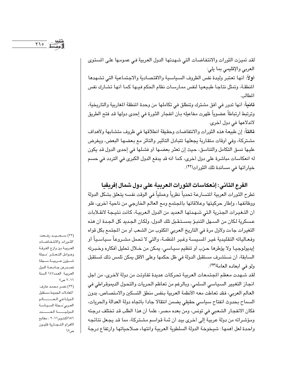لقد تميزت الثورات والانتفاضـات التي شـهدتها الدول العربية فـي عمـومـها علـي المستوى العربي والإقليمي بما يلي: أولاً: أنها تعتبر وليدة نفس الظروف السياسية والاقتصادية والاجتماعية التي تشهدها المنطقة، وتمثل نتاجا طبيعيا لنفس ممارسات نظام الحكم فيها كما أنها تشارك نفس المطالب.

**ثانياً**: أنها تدور في أفق مشترك وتنطلق في تكاملها من وحدة المنطقة المغاربية والتاريخية، وترتبط ارتباطاً عضوياً ظهرت مفاعيله بـأن انفجار الثورة في إحدى دولها قد فتح الطريق لاندلاعها في دول أخرى.

ثالثاً: إن طبيعة هذه الثورات والانتفاضات وحقيقة انطلاقها في ظروف متشابهة ولأهداف مشتركة، وفي أوقات متقاربة يجعلها تتبادل التأثير والتأثر مع بعضها البعض، ويفرض عليها نسق التكامل والتناسق، حيث إن تعثر بعضها أو فشلها في إحدى الدول قد يكون له انعكاسات مباشرة على دول أخرى، كما انه قد يدفع الدول الكبرى في التردد في حسم خياراتها في مساندة تلك الثورات(٢٢).

الفرع الثاني: إنـعكاسـات الثورات الـعربية على دول شمال إفريقيا تطرح الثورات العربية المتسارعة تحدياً نظرياً وعملياً في الوقت نفسه يتعلق بشكل الدولة ووظائفها، وإطار حركيتها وعلاقاتها بالمجتمع ومع العالم الخارجي من ناحية أخرى، فلو أن التغيرات الجذرية التي شهدتها العديد من الدول العربية، كانت نتيجة لانقلابات عسكرية لكان من السـهل التنبـوً بمسـتـقـبل تلك الدول، ولكـان الـجـديد كل الـجـدة أن هذه التغيرات جاءت ولأول مرة في التاريخ العربي المكتوب من الشعب أو من المجتمع بكل قواه وفعـالياته التقليدية غيـر المسيسـة وغـير المنظمـة، والتي لا تحمل مشـروعاً سـياسـياً أو إيديولوجيـا ولا يؤطرها حـزب أو تنظيم سـيـاسـي، يمكن من خـلال تحليل أفكاره وخـبـرته السابقة، أن نستشرف مستقبل الدولة في ظل حكمها وعلى الأقل يمكن تلمس ذلك لستقبل ولو في ابعاده العامة(٢٣).

لقد شـهدت معظم المجتمعات العربية تحركات عديدة تفاوتت من دولة لأخرى، من اجل انجاز التغيير السياسي السلمي، وبالرغم من تعاظم الحريات والتحول الديموقراطي في العالم العربي، فقد تعاطت معه الأنظمة العربية بنفس منطق التسكين والامتصاص، بدون السماح بحدوث انفتاح سياسي حقيقي يضمن انتقالا جادا باتجاه دولة العدالة والحريات، فكان الانفجار الشعبي في تونس، ومن بعده مصر، علما أن هذا الطلب قد تختلف درجته ومؤشراته من دولة عربية إلى أخرى بيد أن ثمة قواسم مشتركة، مما قد يجعل نتائجه واحدة لعل أهمها: شيخوخة الدولة السلطوية العربية وانتهاء صلاحياتها وارتفاع درجة

الشورات والانتفاضات العربية بين وازع الفرقة وعوامل التعشر مجلة شؤون عربية مجلة تصدرعن جامعة الدول العربية العدد١٤٧ السنة ۲۰۱۱ ص۷ (٢٣) نصر محمد عارف: اللعادلات الجديدة مستقبل الدولة في العسالم العربي مجلة السياسة الدوليـــة العــــدد ١٨٦ اكتوبر٢٠١١ ، مطابع الأهرام التجارية قليون

ص۲۲

(٢٢) ســعــيــد رفــعت: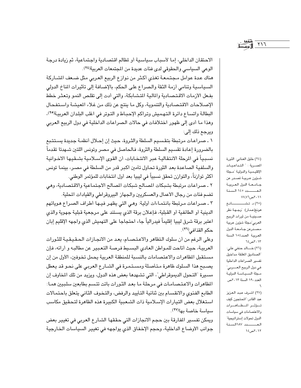$Y \setminus 7$ 

الاحتقان الداخلي، إما لأسباب سياسية أو لظالم اقتصادية واجتماعية، ثم زيادة درجة الوعي السياسي والحقوقي لدى فئات عديدة من المجتمعات العربية(٢٤). هناك عدة عوامل مجتمعة تغذى أكثر من نوازع الربيع العربي مثل ضعف الشاركة السياسية وتنامى أزمة الثقة والصراع على الحكم، بالإضافة إلى تأثيرات المناخ الدولي

بفعل الأزمات الاقتصادية والمالية المتشابكة، والتي أدت إلى تقلص النمو وتعثر خطط الإصلاحات الاقتصادية والتنموية، وكل ما ينتج عن ذلك من غلاء المعيشة واستفحال البطالة واتساع دائرة التهميش وتراكم الإحباط و التوتر في اغلب البلدان العربية(٢٥)، وهذا ما أدى إلى ظهور اختلافات في حالات الصراعات الداخلية في دول الربيع العربي ويرجع ذلك إلى:

١ ـ صراعات مرتبطة بتقسيم السلطة والثروة، حيث إن إحلال أنظمة جديدة يستتبع بالضرورة إعادة تقسيم السلطة والثروة، فالحاصل في مصر وتونس اللتين شـهدتا تقدماً نسبياً في الرحلة الانتقالية عبر الانتخابات، أن القوى الإسـلامية بشـقيها الاخـوانية والسلفية الصاعدة بعد الثورة تحاول تأمين اكبر قدر من السلطة في مصر، بينما تونس أكثر توازناً، والتوازن تحقق نسبياً في ليبيا بعد أول انتخابات للمؤتمر الوطني.

٢ ـ صراعات مرتبطة بشبكات المصالح شبكات المصالح الاجتماعية والاقتصادية، وهي تضم فئات من رجال الأعمال والعسكريين والجهاز البيروقراطي والقيادات المطية.

٣ ـ صـراعات مـرتبطة بانـتمـاءات أولية: وهـي التي يظهـر فيـها أطراف الصـراع هـوياتهم الدينية أو الطائفية أو القبلية، فإعلان برقة الذي يستند على مرجعية قبلية جهوية والذي اعتبر برقة شرق ليبيا إقليماً فيدرالياً جاء احتجاجا على التهميش الذي واجهه الإقليم إبان حكم القذافي(٢٦).

وعلى الرغم من أن سلوك التظاهر والاعتصـام، يعد من الانجـازات الحـقـيـقـيـة للثـورات العربية، حيث أتاحت للمواطن العادي البسيط فرصة التعبير عن مطالبه و أرائه، فإن مستقبل المظاهرات والاعتصامات بالنسبة للمنطقة العربية يحمل تخوفين، الأول من إن يصبح هذا السلوك ظاهرة متأصلة ومستمرة في الشارع العربي على نحو قد يعطل مسيرة "التحول الديموقراطي"، التي تشهدها بعض هذه الدول، ويزيد من تلك المخاوف إن الظاهرات والاعتصامات في مرحلة ما بعد الثورات باتت تتسم بطابعين سلبيين همـا: الطابع الفئوي والانقسام بين ثنائية التأييد والرفض، والتخوف الثاني يتعلق باحتمالات استغلال بعض التيارات الإسلامية ذات الشعبية الكبيرة هذه الظاهرة لتحقيق مكاسب سياسة خاصة بها(٢٧).

ويمكن تفسير المفارقة بين حجم الانجازات التي حققها الشارع العربي في تغيير بعض جوانب الأوضاع الداخلية، وحجم الإخفاق الذي يواجهه في تغيير السياسات الخارجية

(٢٤) خليل العنابي: الثورة المصرية: " التداعيات الإقليمية والدولية مجلة شـؤون عـربيــة تصــدر عن جامعة الدول العربية العسدد ١٤٥ السنة ۲۰۱۱ می۷.۷ (٢٥) د. تشـــــــانغ هونغ(عمار): "وجهة نظر صــينيــة من ثورات الربيع العربي مجلة شؤون عربية مصدرعن جامعة الدول العربية العدد١٥٤ السنة ۲۰۱۳ص۲۶ (٢٦) خـــالد حنفي علي: الصناديق المغلقة مداخيل تفسير الصراعات الداخلية في دول الربيع العسربي" مجلة السياسة الدولية العدد ١٩٠ السنة ٢٠١٣ص (٢٧) اشرف عبد العزيز عبد القادر:"المحتجون كيف تسؤثر المظاهرات والاعتصامات في سياسات

الدول تحولات إستراتيجية"

العسدد ١٨٧السنة

۲۰۱۲ص ۱٤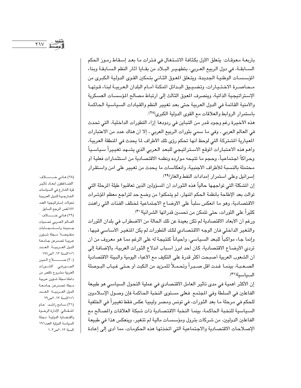بأربعة معوقات: يتعلق الأول بكثافة الاشتغال في فترات ما بعد إسقاط رموز الحكم السـابقـة، في دول الربيع العـربي، بتطهـيـر البـلاد من بقـايا أثار النظم السـابقـة وبناء المؤسسات الوطنية الجديدة، ويتعلق المعوق الثاني بتمكين القوى الدولية الكبرى من محاصرة الاختيارات، وتضييق البدائل المكنة أمـام البلدان العربيـة لبناء قـوتهـا الإستراتيجية الذاتية، وينصرف المعوق الثالث إلى ارتباط مصالح المؤسسات العسكرية والأمنية القائمة في الدول العربية حتى بعد تغيير النظم والقيادات السياسية الحاكمة باستمرار الروابط والعلاقات مع القوى الدولية الكبرى(٢٨).

هذه الأخيرة رغم وجود قدر من التباين في ردودها إزاء التطورات الداخلية، التي تحدث في العالم العربي ـ وفي ما سمي بثورات الربيع العربي ـ إلا أن هناك عدد من الاعتبارات المعيارية الشتركة التي لوحظ أنها تحكم رؤى تلك الأطراف لما يحدث في المنطقة العربية، وأهم هذه الاعتبارات الموقع الاستراتيجي للبعد العربي الذي يشـهد تغييراً سياسـياً وحراكاً اجتماعياً، وحجم ما تتيحه موارده ونظمه الاقتصادية من استثمارات فعلية أو محتملة بالنسبة للأطراف الأجنبية، وانعكاسات ما يحدث من تغيير على امن واستقرار إسرائيل وعلى استمرار إمدادات النفط والغاز<sup>(٢٩)</sup>.

إن المشكلة التي تواجهها حالياً هذه الثورات أن المسؤولين الذين تعاقبوا طيلة المرحلة التي توالت بعد الإطاحة بأنظمة الحكم المنهار، لم يتمكنوا من وضـع حد لتراجع معظم المؤشرات الاقتصادية، وهو ما انعكس سلباً على الأوضاع الاجتماعية لمختلف الفئات التي راهنت كثيراً على الثورات، حتى تتمكن من تحسين قدراتها الشرائية''").

ورغم أن الأبعاد الاقتصادية لم تكن بعيدة عن تلك الحالة من الاضطراب في بلدان الثورات والتغير الداخلي فان الوجه الاقتصادي لتلك التطورات لم يكن المتغير الأساسى فيها، وإنما جاء مواكباً للبعد السياسي، وأحياناً كنتيجة له على الرغم مما هو معروف من أن تردي الأوضاع الاقتصادية، كان أحد ابرز أسباب اندلاع الثورات العربية، بالإضافة إلى أن الشعوب العربية أصبحت أكثر قدرة على التكيف مع الأعباء اليومية والبيئة الاقتصادية الصـعـبـة، بينمـا غـدت اقل صـبـراً وتحـمـلاً للمـزيد من الـكبت أو حـتـى غـيـاب البـوصلة السياسية(٣١).

إن الأكثر أهمية في مدى تأثير العامل الاقتصادي في عملية التحول السياسي هو طبيعة الفاعلين في السلطة وفي المجتمع. فعلى مستوى النخبة الحاكمة فإن وصول الإسلاميين للحكم في مرحلة ما بعد الثورات، في تونس ومصر وليبيا عكس فقط تغييراً في الخلفية السياسية للنخبة الحاكمة، بينما النخبة الاقتصادية ذات شبكة العلاقات والمسالح مع الفاعلين الدوليين، من شركات بترول ومؤسسات مالية لم تتغير، وينعكس هذا في طبيعة الإصلاحات الاقتصادية والاجتماعية التي اتخذتها هذه الحكومات، مما أدى إلى إعادة

(٢٨) هاني خـــــــــلاف: الضاغطون أبعاد تأثير قوة الشارع في السياسات الخارجية للدول العربية تحولات إستراتيجية العدد ١٨٧نفس المرجع السابق. (٢٩) هـاني خــــــــلاف: " العالم العربي تحديات جـديدة واسـتـجـابات منقوصـة" مـجلة شـؤون عربية تصدرعن جـامعة الدول العربية العدد ١٩٧السنة ٢٠١٣ص١٩٧ (٣٠) صـــــــــــلاح الـدين الجــــورشي: "الشّـــورات العربية مشروع ناقص من داخله مجلة شئون عربية مجلة تصدرعن جامعة الدول العربية العدد ٢٥/ السنة ٢٠١٣ص٢٩ (٣١) سامح راشد: "عام انتقالي: الإدارة الرخوة والقضايا الدولية مجلة السياسة الدولية العدد١٩١ السنة ٢٠١٣ص١٠٢.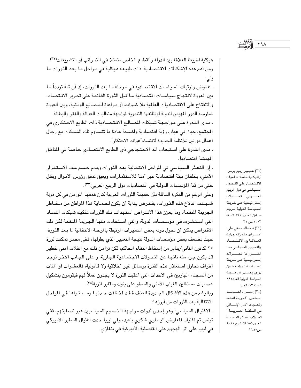هيكلية لطبيعة العلاقة بين الدولة والقطاع الخاص متمثلا في الضرائب أو التشريعات(٣٢). ومن أهم هذه الإشكالات الاقتصادية، ذات طبيعة هيكلية في مراحل ما بعد الثورات ما یلی:

ـ غموض وارتباك السياسات الاقتصادية في مرحلة ما بعد الثورات، إذ أن ثمة تردداً ما بين العودة لانتهاج سياسات اقتصادية ما قبل الثورة القائمة على تحرير الاقتصاد، والانفتاح على الاقتصاديات العالمية بلا ضوابط أو مراعاة للمصالح الوطنية، وبين العودة لمارسة الدور المهيمن للدولة لوظائفها التنموية لمواجهة متطلبات العدالة والفقر والبطالة. ـ مدى القدرة على مواجهة شبكات المصالح الاقتصادية ذات الطابع الاحتكاري في

المجتمع، حيث في غياب رؤية اقتصادية واضحة عادة ما تتساوم تلك الشبكات مع رجال أعمال موالين للأنظمة الجديدة لاقتسام عوائد الاحتكار".

- مدى القدرة على استيعاب الد الاحتجاجي ذي الطابع الاقتصادي خاصة في المناطق المهمشة اقتصاديا.

ـ إن التعثر السياسي في المراحل الانتقالية بعد الثورات وعدم حسم ملف الاستقرار الأمني، يخلفان بيئة اقتصادية غير أمنة للاستثمارات، ويعيق تدفق رؤوس الأموال ويقلل حتى من ثقة المؤسسات الدولية في اقتصاديات دول الربيع العربي(٣٣).

وعلى الرغم من الفكرة القائلة بأن حقيقة الثورات العربية كان هدفها المواطن في كل دولة شـهـدت اندلاع هذه الـثـورات، يفـتـرض بداية أن يكون لـصـمـايـة هذا المواطن مـن مـخــاطر الجريمة المنظمة، وما يعزز هذا الافتراض استهداف تلك الثورات تفكيك شبكات الفساد التي استشرت في مؤسسات الدولة، والتي استفادت منها الجريمة المنظمة لكن ذلك الافتراض يمكن أن تحول دونه بعض المتغيرات المرتبطة بالمرحلة الانتقالية لما بعد الثورة، حيث تضعف بعض مؤسسات الدولة نتيجة التغيير الذي يطولها، ففي مصر تمكنت ثورة ٢٥ كانون الثاني/يناير من إسـقـاط النظام الـحاكم، لكن تزامـن ذلك مـع انفلات أمنى خطير قد يكون جزء منه ناتجا عن التحولات الاجتماعية الجارية، و على الجانب الأخر توجد أطراف تحاول استغلال هذه الفترة بوسائل غير أخلاقية ولا قانونية، فالعشرات أو المئات من السجناء الهاربين في الأحداث التي أعقبت الثورة لا يجدون عملاً لهم فيقومون بتشكيل عصابات مستغلين الغياب الأمنى والسطو على بنوك ومقابر اثرية(٣٤). وبالرغم من هذه الأشكال الجديدة للعنف فقد اختلفت حـدتهـا ومسـتـواهـا فـي المراحل

ـ الاغتيال السياسى: وهو إحدى أدوات مواجهة الخصىوم السياسيين عبر تصفيتهم، ففى تونس تم اغتيال المعارض اليساري شكري بلعيد، وفي ليبيا حدث اغتيال السفير الأميركي في ليبيا على اثر الهجوم على القنصلية الأميركية في بنغازي.

الانتقالية بعد الثورات من أبرزها:

(٣٢) عـبـيـر ربيع يونس: راديكالية غائبة: تداعيات الاقتصاد على التحول السـيـاسي في دول الربيع العــــــــــربي" " تـحــــــــــولات إستراتيجية على خريطة السياسة الدولية مرجع سابق العدد ١٩١ السنة ۲۰۱۳ ص ۲۱ (٣٣) د خالد حنفي علي: مسارات متوازنة جدلية العلاقة بين الاقتصاد والتغيير السياسى بعد الثــــورات تحــــولات إستراتيجية على خريطة السياسة الدولية ملحق دوري يصـــدر عن مـــجلة السياسة الدولية العدد١٩١ السنة ٢٠١٣ص٤ (٣٤) إسراء احتمد إسماعيل: "الجريمة المنظمة وتحديات الأمن الإنساني في المنطقــة الـعـــربيـــة " تحولات إستراتيجية العدد١٨٦ اكتوبر٢٠١١ ص۱٦.۱ه

**YIA**